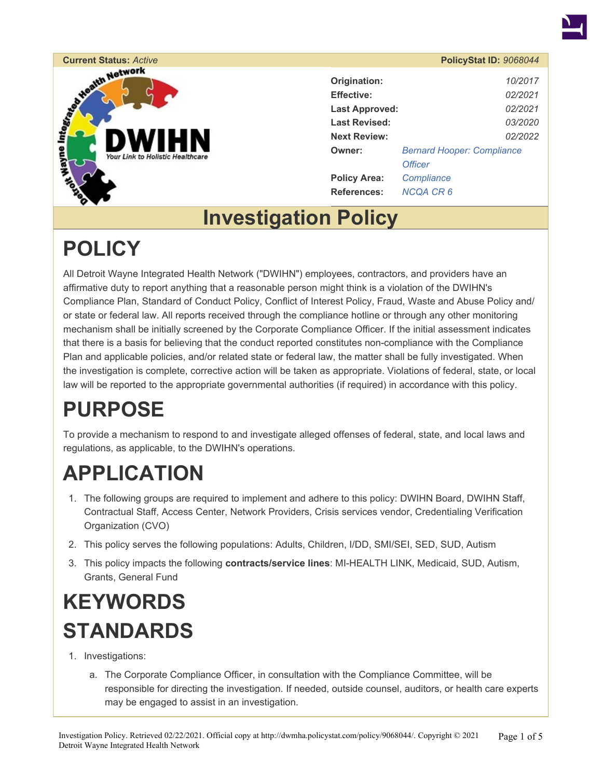

# Current Status: *Active*<br> **PolicyStat ID: 9068044**<br> **Current Status:** *Active*<br> **Current Status:** *Active*<br> **Current Status:** *Active*<br> **Current Status:** *Active*<br> **Current Status:** *PolicyStat ID: 9068044*<br> **Current Statu**

| Origination:          | 10/2017                           |  |  |
|-----------------------|-----------------------------------|--|--|
| <b>Effective:</b>     | 02/2021                           |  |  |
| <b>Last Approved:</b> | 02/2021                           |  |  |
| <b>Last Revised:</b>  | 03/2020                           |  |  |
| <b>Next Review:</b>   | 02/2022                           |  |  |
| Owner:                | <b>Bernard Hooper: Compliance</b> |  |  |
|                       | <b>Officer</b>                    |  |  |
| <b>Policy Area:</b>   | Compliance                        |  |  |
| References:           | NCQA CR 6                         |  |  |
|                       |                                   |  |  |

### **Investigation Policy**

### **POLICY**

All Detroit Wayne Integrated Health Network ("DWIHN") employees, contractors, and providers have an affirmative duty to report anything that a reasonable person might think is a violation of the DWIHN's Compliance Plan, Standard of Conduct Policy, Conflict of Interest Policy, Fraud, Waste and Abuse Policy and/ or state or federal law. All reports received through the compliance hotline or through any other monitoring mechanism shall be initially screened by the Corporate Compliance Officer. If the initial assessment indicates that there is a basis for believing that the conduct reported constitutes non-compliance with the Compliance Plan and applicable policies, and/or related state or federal law, the matter shall be fully investigated. When the investigation is complete, corrective action will be taken as appropriate. Violations of federal, state, or local law will be reported to the appropriate governmental authorities (if required) in accordance with this policy.

## **PURPOSE**

To provide a mechanism to respond to and investigate alleged offenses of federal, state, and local laws and regulations, as applicable, to the DWIHN's operations.

### **APPLICATION**

- 1. The following groups are required to implement and adhere to this policy: DWIHN Board, DWIHN Staff, Contractual Staff, Access Center, Network Providers, Crisis services vendor, Credentialing Verification Organization (CVO)
- 2. This policy serves the following populations: Adults, Children, I/DD, SMI/SEI, SED, SUD, Autism
- 3. This policy impacts the following **contracts/service lines**: MI-HEALTH LINK, Medicaid, SUD, Autism, Grants, General Fund

### **KEYWORDS STANDARDS**

- 1. Investigations:
	- a. The Corporate Compliance Officer, in consultation with the Compliance Committee, will be responsible for directing the investigation. If needed, outside counsel, auditors, or health care experts may be engaged to assist in an investigation.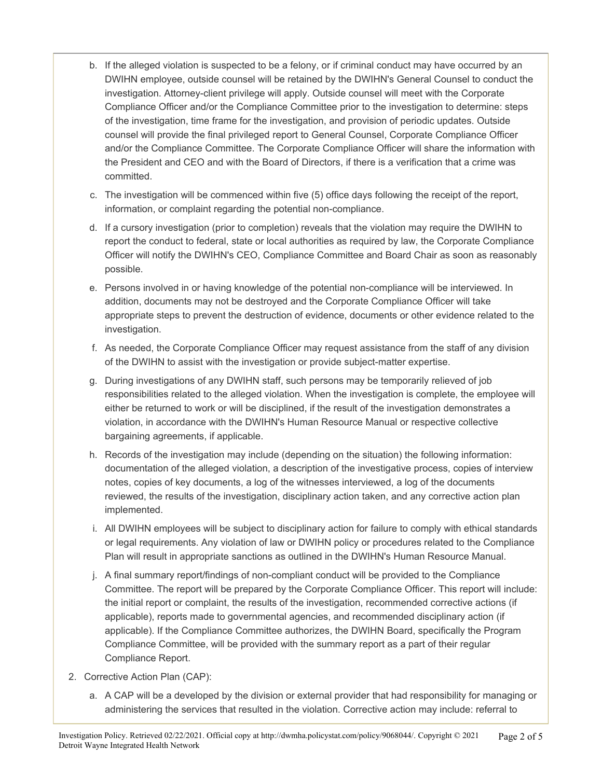- b. If the alleged violation is suspected to be a felony, or if criminal conduct may have occurred by an DWIHN employee, outside counsel will be retained by the DWIHN's General Counsel to conduct the investigation. Attorney-client privilege will apply. Outside counsel will meet with the Corporate Compliance Officer and/or the Compliance Committee prior to the investigation to determine: steps of the investigation, time frame for the investigation, and provision of periodic updates. Outside counsel will provide the final privileged report to General Counsel, Corporate Compliance Officer and/or the Compliance Committee. The Corporate Compliance Officer will share the information with the President and CEO and with the Board of Directors, if there is a verification that a crime was committed.
- c. The investigation will be commenced within five (5) office days following the receipt of the report, information, or complaint regarding the potential non-compliance.
- d. If a cursory investigation (prior to completion) reveals that the violation may require the DWIHN to report the conduct to federal, state or local authorities as required by law, the Corporate Compliance Officer will notify the DWIHN's CEO, Compliance Committee and Board Chair as soon as reasonably possible.
- e. Persons involved in or having knowledge of the potential non-compliance will be interviewed. In addition, documents may not be destroyed and the Corporate Compliance Officer will take appropriate steps to prevent the destruction of evidence, documents or other evidence related to the investigation.
- f. As needed, the Corporate Compliance Officer may request assistance from the staff of any division of the DWIHN to assist with the investigation or provide subject-matter expertise.
- g. During investigations of any DWIHN staff, such persons may be temporarily relieved of job responsibilities related to the alleged violation. When the investigation is complete, the employee will either be returned to work or will be disciplined, if the result of the investigation demonstrates a violation, in accordance with the DWIHN's Human Resource Manual or respective collective bargaining agreements, if applicable.
- h. Records of the investigation may include (depending on the situation) the following information: documentation of the alleged violation, a description of the investigative process, copies of interview notes, copies of key documents, a log of the witnesses interviewed, a log of the documents reviewed, the results of the investigation, disciplinary action taken, and any corrective action plan implemented.
- i. All DWIHN employees will be subject to disciplinary action for failure to comply with ethical standards or legal requirements. Any violation of law or DWIHN policy or procedures related to the Compliance Plan will result in appropriate sanctions as outlined in the DWIHN's Human Resource Manual.
- j. A final summary report/findings of non-compliant conduct will be provided to the Compliance Committee. The report will be prepared by the Corporate Compliance Officer. This report will include: the initial report or complaint, the results of the investigation, recommended corrective actions (if applicable), reports made to governmental agencies, and recommended disciplinary action (if applicable). If the Compliance Committee authorizes, the DWIHN Board, specifically the Program Compliance Committee, will be provided with the summary report as a part of their regular Compliance Report.
- 2. Corrective Action Plan (CAP):
	- a. A CAP will be a developed by the division or external provider that had responsibility for managing or administering the services that resulted in the violation. Corrective action may include: referral to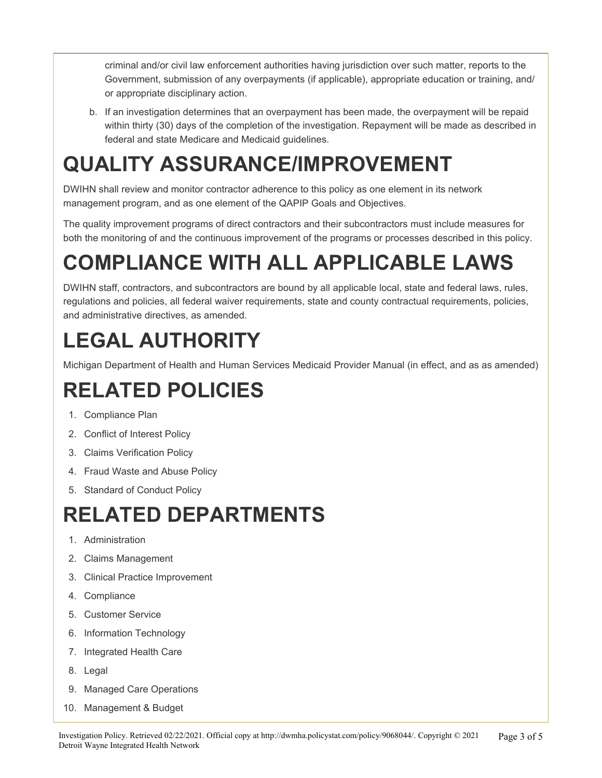criminal and/or civil law enforcement authorities having jurisdiction over such matter, reports to the Government, submission of any overpayments (if applicable), appropriate education or training, and/ or appropriate disciplinary action.

b. If an investigation determines that an overpayment has been made, the overpayment will be repaid within thirty (30) days of the completion of the investigation. Repayment will be made as described in federal and state Medicare and Medicaid guidelines.

## **QUALITY ASSURANCE/IMPROVEMENT**

DWIHN shall review and monitor contractor adherence to this policy as one element in its network management program, and as one element of the QAPIP Goals and Objectives.

The quality improvement programs of direct contractors and their subcontractors must include measures for both the monitoring of and the continuous improvement of the programs or processes described in this policy.

# **COMPLIANCE WITH ALL APPLICABLE LAWS**

DWIHN staff, contractors, and subcontractors are bound by all applicable local, state and federal laws, rules, regulations and policies, all federal waiver requirements, state and county contractual requirements, policies, and administrative directives, as amended.

# **LEGAL AUTHORITY**

Michigan Department of Health and Human Services Medicaid Provider Manual (in effect, and as as amended)

# **RELATED POLICIES**

- 1. Compliance Plan
- 2. Conflict of Interest Policy
- 3. Claims Verification Policy
- 4. Fraud Waste and Abuse Policy
- 5. Standard of Conduct Policy

## **RELATED DEPARTMENTS**

- 1. Administration
- 2. Claims Management
- 3. Clinical Practice Improvement
- 4. Compliance
- 5. Customer Service
- 6. Information Technology
- 7. Integrated Health Care
- 8. Legal
- 9. Managed Care Operations
- 10. Management & Budget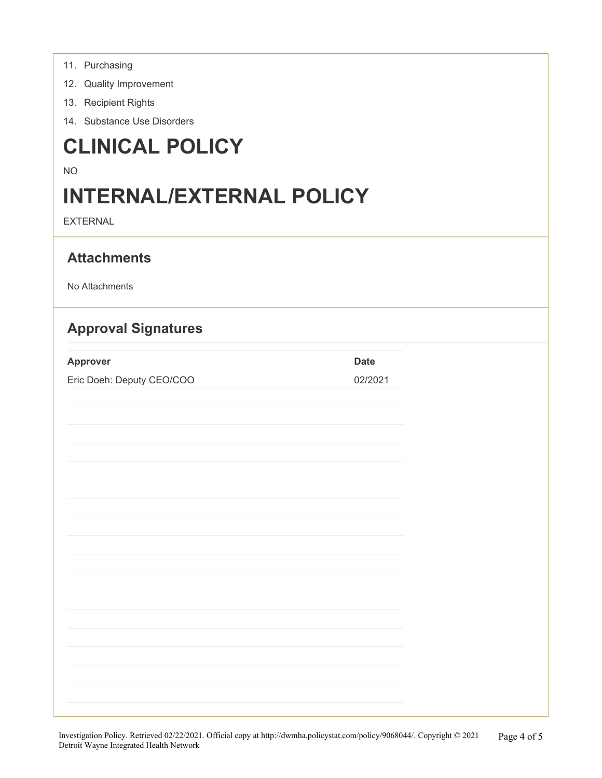|  | 11. | Purchasing |
|--|-----|------------|
|--|-----|------------|

- 12. Quality Improvement
- 13. Recipient Rights
- 14. Substance Use Disorders

### **CLINICAL POLICY**

### NO

### **INTERNAL/EXTERNAL POLICY**

EXTERNAL

### **Attachments**

No Attachments

### **Approval Signatures**

| Approver                  | Date    |
|---------------------------|---------|
| Eric Doeh: Deputy CEO/COO | 02/2021 |

| Investigation Relieve Returned 00/00/0001 Official sense of letter//dynalse noticerate semination/0060044/ Convuisht @ 0001 |  | $\mathbf{D}$ $\mathbf{A}$ $\mathbf{C}$ |
|-----------------------------------------------------------------------------------------------------------------------------|--|----------------------------------------|
|                                                                                                                             |  |                                        |
|                                                                                                                             |  |                                        |
|                                                                                                                             |  |                                        |
|                                                                                                                             |  |                                        |
|                                                                                                                             |  |                                        |
|                                                                                                                             |  |                                        |
|                                                                                                                             |  |                                        |
|                                                                                                                             |  |                                        |